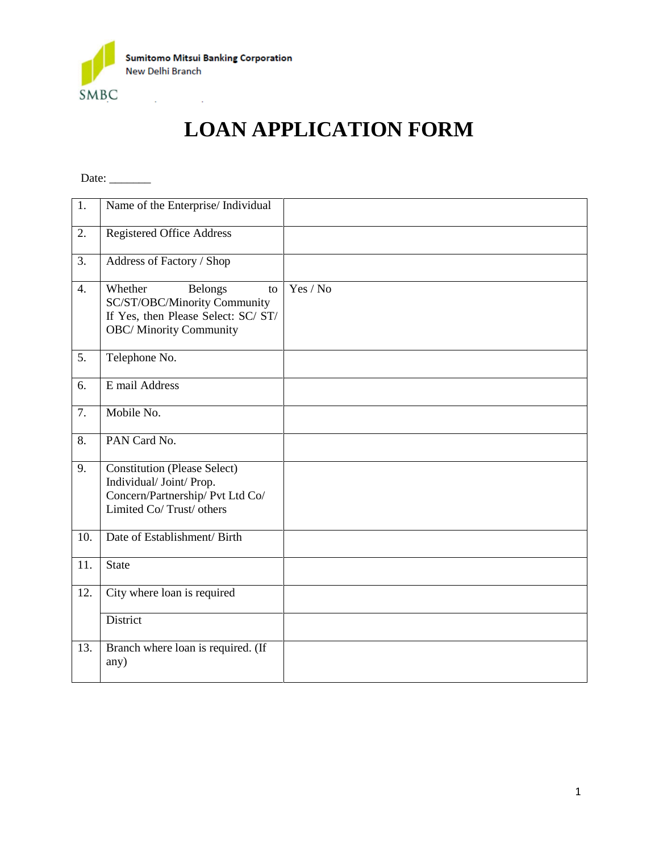

## **LOAN APPLICATION FORM**

Date:  $\_\_$ 

| 1.               | Name of the Enterprise/ Individual                                                                                                       |          |
|------------------|------------------------------------------------------------------------------------------------------------------------------------------|----------|
| 2.               | <b>Registered Office Address</b>                                                                                                         |          |
| 3.               | Address of Factory / Shop                                                                                                                |          |
| 4.               | <b>Belongs</b><br>Whether<br>to<br>SC/ST/OBC/Minority Community<br>If Yes, then Please Select: SC/ ST/<br><b>OBC/</b> Minority Community | Yes / No |
| $\overline{5}$ . | Telephone No.                                                                                                                            |          |
| 6.               | E mail Address                                                                                                                           |          |
| $\overline{7}$ . | Mobile No.                                                                                                                               |          |
| 8.               | PAN Card No.                                                                                                                             |          |
| 9.               | <b>Constitution (Please Select)</b><br>Individual/ Joint/ Prop.<br>Concern/Partnership/ Pvt Ltd Co/<br>Limited Co/Trust/ others          |          |
| 10.              | Date of Establishment/ Birth                                                                                                             |          |
| 11.              | <b>State</b>                                                                                                                             |          |
| 12.              | City where loan is required                                                                                                              |          |
|                  | District                                                                                                                                 |          |
| 13.              | Branch where loan is required. (If<br>any)                                                                                               |          |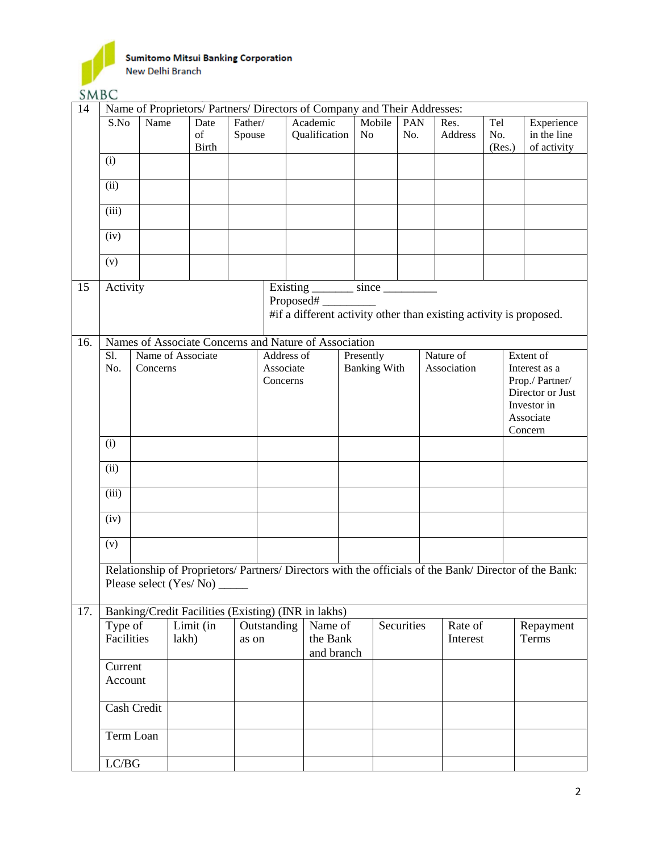

**SMBC** 

|     | $\cup$ . $\cup$ $\cup$                                                   |                                    |                                                                                                        |                   |             |                                                                                 |            |                     |            |  |                        |                      |                          |                                          |  |
|-----|--------------------------------------------------------------------------|------------------------------------|--------------------------------------------------------------------------------------------------------|-------------------|-------------|---------------------------------------------------------------------------------|------------|---------------------|------------|--|------------------------|----------------------|--------------------------|------------------------------------------|--|
| 14  | Name of Proprietors/ Partners/ Directors of Company and Their Addresses: |                                    |                                                                                                        |                   |             |                                                                                 |            |                     |            |  |                        |                      |                          |                                          |  |
|     | S.No                                                                     | Name<br>Date<br>of<br><b>Birth</b> |                                                                                                        | Father/<br>Spouse |             | Academic<br>Qualification                                                       | No         | Mobile              | PAN<br>No. |  | Res.<br><b>Address</b> | Tel<br>No.<br>(Res.) |                          | Experience<br>in the line<br>of activity |  |
|     | (i)                                                                      |                                    |                                                                                                        |                   |             |                                                                                 |            |                     |            |  |                        |                      |                          |                                          |  |
|     | (ii)                                                                     |                                    |                                                                                                        |                   |             |                                                                                 |            |                     |            |  |                        |                      |                          |                                          |  |
|     | (iii)                                                                    |                                    |                                                                                                        |                   |             |                                                                                 |            |                     |            |  |                        |                      |                          |                                          |  |
|     | (iv)                                                                     |                                    |                                                                                                        |                   |             |                                                                                 |            |                     |            |  |                        |                      |                          |                                          |  |
|     | (v)                                                                      |                                    |                                                                                                        |                   |             |                                                                                 |            |                     |            |  |                        |                      |                          |                                          |  |
| 15  | Activity                                                                 |                                    |                                                                                                        |                   |             | Existing _________ since __________                                             |            |                     |            |  |                        |                      |                          |                                          |  |
|     |                                                                          |                                    |                                                                                                        |                   |             | Proposed#<br>#if a different activity other than existing activity is proposed. |            |                     |            |  |                        |                      |                          |                                          |  |
| 16. |                                                                          |                                    | Names of Associate Concerns and Nature of Association                                                  |                   |             |                                                                                 |            |                     |            |  |                        |                      |                          |                                          |  |
|     | Sl.                                                                      |                                    | Name of Associate                                                                                      |                   | Address of  |                                                                                 | Presently  |                     |            |  | Nature of              |                      |                          | Extent of                                |  |
|     | No.                                                                      | Concerns                           |                                                                                                        |                   | Associate   |                                                                                 |            | <b>Banking With</b> |            |  | Association            |                      |                          | Interest as a                            |  |
|     |                                                                          |                                    |                                                                                                        |                   | Concerns    |                                                                                 |            |                     |            |  |                        |                      | Prop./ Partner/          |                                          |  |
|     |                                                                          |                                    |                                                                                                        |                   |             |                                                                                 |            |                     |            |  |                        |                      |                          | Director or Just                         |  |
|     |                                                                          |                                    |                                                                                                        |                   |             |                                                                                 |            |                     |            |  |                        |                      | Investor in<br>Associate |                                          |  |
|     |                                                                          |                                    |                                                                                                        |                   |             |                                                                                 |            |                     |            |  |                        |                      | Concern                  |                                          |  |
|     | (i)                                                                      |                                    |                                                                                                        |                   |             |                                                                                 |            |                     |            |  |                        |                      |                          |                                          |  |
|     | (ii)                                                                     |                                    |                                                                                                        |                   |             |                                                                                 |            |                     |            |  |                        |                      |                          |                                          |  |
|     | (iii)                                                                    |                                    |                                                                                                        |                   |             |                                                                                 |            |                     |            |  |                        |                      |                          |                                          |  |
|     | (iv)                                                                     |                                    |                                                                                                        |                   |             |                                                                                 |            |                     |            |  |                        |                      |                          |                                          |  |
|     | (v)                                                                      |                                    |                                                                                                        |                   |             |                                                                                 |            |                     |            |  |                        |                      |                          |                                          |  |
|     |                                                                          |                                    | Relationship of Proprietors/ Partners/ Directors with the officials of the Bank/ Director of the Bank: |                   |             |                                                                                 |            |                     |            |  |                        |                      |                          |                                          |  |
|     |                                                                          |                                    |                                                                                                        |                   |             |                                                                                 |            |                     |            |  |                        |                      |                          |                                          |  |
| 17. |                                                                          |                                    | Banking/Credit Facilities (Existing) (INR in lakhs)                                                    |                   |             |                                                                                 |            |                     |            |  |                        |                      |                          |                                          |  |
|     | Type of                                                                  |                                    | Limit (in                                                                                              |                   | Outstanding | Name of                                                                         |            |                     | Securities |  | Rate of                |                      |                          | Repayment                                |  |
|     |                                                                          | Facilities<br>lakh)                |                                                                                                        | as on             | the Bank    |                                                                                 | and branch |                     |            |  | Interest               |                      |                          | Terms                                    |  |
|     | Current                                                                  |                                    |                                                                                                        |                   |             |                                                                                 |            |                     |            |  |                        |                      |                          |                                          |  |
|     |                                                                          | Account                            |                                                                                                        |                   |             |                                                                                 |            |                     |            |  |                        |                      |                          |                                          |  |
|     |                                                                          | Cash Credit                        |                                                                                                        |                   |             |                                                                                 |            |                     |            |  |                        |                      |                          |                                          |  |
|     |                                                                          | Term Loan                          |                                                                                                        |                   |             |                                                                                 |            |                     |            |  |                        |                      |                          |                                          |  |
|     | ${LC/BG}$                                                                |                                    |                                                                                                        |                   |             |                                                                                 |            |                     |            |  |                        |                      |                          |                                          |  |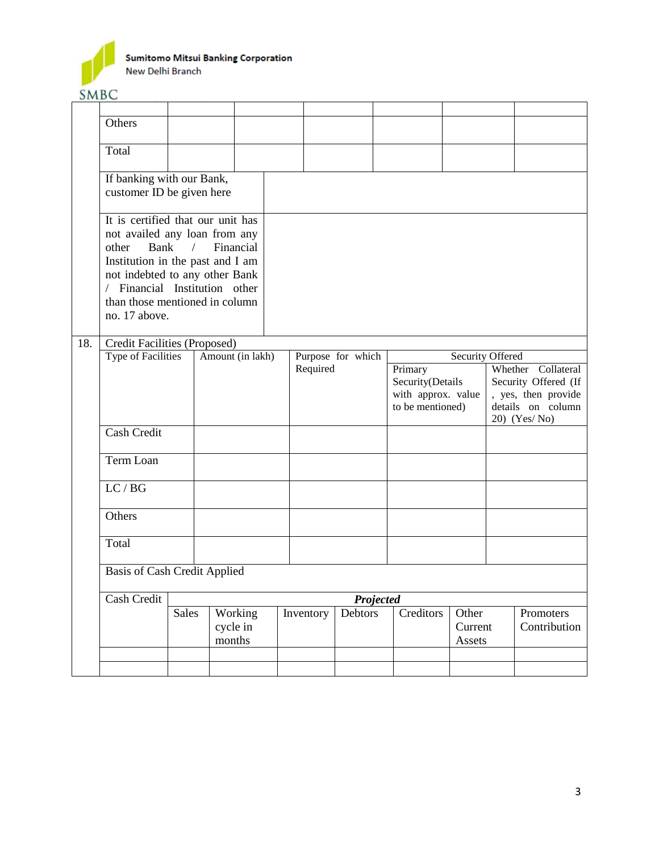

|     | Others                                                                                                                                                                                                                                |              |                    |                  |  |           |                                                                       |           |  |                                                                                                        |  |                           |
|-----|---------------------------------------------------------------------------------------------------------------------------------------------------------------------------------------------------------------------------------------|--------------|--------------------|------------------|--|-----------|-----------------------------------------------------------------------|-----------|--|--------------------------------------------------------------------------------------------------------|--|---------------------------|
|     | Total                                                                                                                                                                                                                                 |              |                    |                  |  |           |                                                                       |           |  |                                                                                                        |  |                           |
|     | If banking with our Bank,<br>customer ID be given here                                                                                                                                                                                |              |                    |                  |  |           |                                                                       |           |  |                                                                                                        |  |                           |
|     | It is certified that our unit has<br>not availed any loan from any<br>other<br>Institution in the past and I am<br>not indebted to any other Bank<br>/ Financial Institution other<br>than those mentioned in column<br>no. 17 above. | Bank $/$     |                    | Financial        |  |           |                                                                       |           |  |                                                                                                        |  |                           |
| 18. | Credit Facilities (Proposed)                                                                                                                                                                                                          |              |                    |                  |  |           |                                                                       |           |  |                                                                                                        |  |                           |
|     | Type of Facilities                                                                                                                                                                                                                    |              |                    | Amount (in lakh) |  |           | Purpose for which                                                     |           |  | Security Offered                                                                                       |  |                           |
|     |                                                                                                                                                                                                                                       |              |                    | Required         |  |           | Primary<br>Security(Details<br>with approx. value<br>to be mentioned) |           |  | Whether Collateral<br>Security Offered (If<br>, yes, then provide<br>details on column<br>20) (Yes/No) |  |                           |
|     | <b>Cash Credit</b>                                                                                                                                                                                                                    |              |                    |                  |  |           |                                                                       |           |  |                                                                                                        |  |                           |
|     | Term Loan                                                                                                                                                                                                                             |              |                    |                  |  |           |                                                                       |           |  |                                                                                                        |  |                           |
|     | LC/BG                                                                                                                                                                                                                                 |              |                    |                  |  |           |                                                                       |           |  |                                                                                                        |  |                           |
|     | Others                                                                                                                                                                                                                                |              |                    |                  |  |           |                                                                       |           |  |                                                                                                        |  |                           |
|     | Total                                                                                                                                                                                                                                 |              |                    |                  |  |           |                                                                       |           |  |                                                                                                        |  |                           |
|     | <b>Basis of Cash Credit Applied</b>                                                                                                                                                                                                   |              |                    |                  |  |           |                                                                       |           |  |                                                                                                        |  |                           |
|     | Cash Credit                                                                                                                                                                                                                           |              |                    |                  |  |           | Projected                                                             |           |  |                                                                                                        |  |                           |
|     |                                                                                                                                                                                                                                       | <b>Sales</b> | cycle in<br>months | Working          |  | Inventory | <b>Debtors</b>                                                        | Creditors |  | Other<br>Current<br>Assets                                                                             |  | Promoters<br>Contribution |
|     |                                                                                                                                                                                                                                       |              |                    |                  |  |           |                                                                       |           |  |                                                                                                        |  |                           |
|     |                                                                                                                                                                                                                                       |              |                    |                  |  |           |                                                                       |           |  |                                                                                                        |  |                           |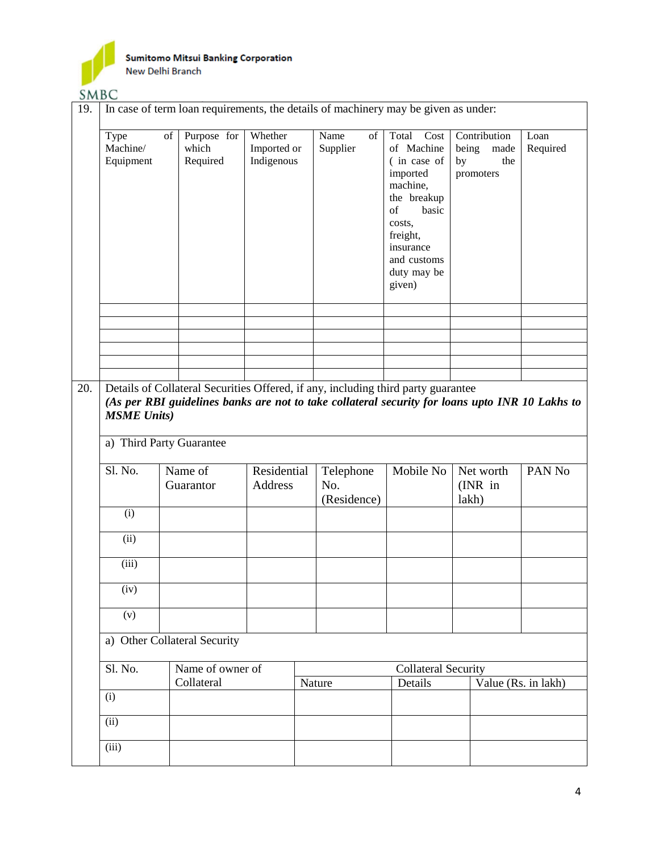

 $$ 

| 19. | <b>SIMPO</b><br>In case of term loan requirements, the details of machinery may be given as under: |                                                |                                      |                                 |                                                                                                  |                                                         |                     |  |  |  |  |
|-----|----------------------------------------------------------------------------------------------------|------------------------------------------------|--------------------------------------|---------------------------------|--------------------------------------------------------------------------------------------------|---------------------------------------------------------|---------------------|--|--|--|--|
|     |                                                                                                    |                                                |                                      |                                 |                                                                                                  |                                                         |                     |  |  |  |  |
|     | Type<br>Machine/<br>Equipment                                                                      | Purpose for<br>of<br>which<br>Required         | Whether<br>Imported or<br>Indigenous | Name<br>of<br>Supplier          | Total<br>Cost<br>of Machine<br>(in case of<br>imported<br>machine,<br>the breakup<br>basic<br>of | Contribution<br>being<br>made<br>the<br>by<br>promoters | Loan<br>Required    |  |  |  |  |
|     |                                                                                                    |                                                |                                      |                                 | costs,<br>freight,<br>insurance<br>and customs<br>duty may be<br>given)                          |                                                         |                     |  |  |  |  |
|     |                                                                                                    |                                                |                                      |                                 |                                                                                                  |                                                         |                     |  |  |  |  |
|     |                                                                                                    |                                                |                                      |                                 |                                                                                                  |                                                         |                     |  |  |  |  |
|     |                                                                                                    |                                                |                                      |                                 |                                                                                                  |                                                         |                     |  |  |  |  |
|     |                                                                                                    |                                                |                                      |                                 |                                                                                                  |                                                         |                     |  |  |  |  |
|     |                                                                                                    | <b>MSME Units)</b><br>a) Third Party Guarantee |                                      |                                 |                                                                                                  |                                                         |                     |  |  |  |  |
|     | Sl. No.                                                                                            | Name of<br>Guarantor                           | Residential<br>Address               | Telephone<br>No.<br>(Residence) | Mobile No                                                                                        | Net worth<br>$(NR)$ in<br>lakh)                         | PAN No              |  |  |  |  |
|     | (i)                                                                                                |                                                |                                      |                                 |                                                                                                  |                                                         |                     |  |  |  |  |
|     | (ii)                                                                                               |                                                |                                      |                                 |                                                                                                  |                                                         |                     |  |  |  |  |
|     | (iii)                                                                                              |                                                |                                      |                                 |                                                                                                  |                                                         |                     |  |  |  |  |
|     | (iv)                                                                                               |                                                |                                      |                                 |                                                                                                  |                                                         |                     |  |  |  |  |
|     | (v)                                                                                                |                                                |                                      |                                 |                                                                                                  |                                                         |                     |  |  |  |  |
|     |                                                                                                    | a) Other Collateral Security                   |                                      |                                 |                                                                                                  |                                                         |                     |  |  |  |  |
|     | Sl. No.                                                                                            | Name of owner of<br>Collateral                 |                                      | Nature                          | <b>Collateral Security</b><br>Details                                                            |                                                         | Value (Rs. in lakh) |  |  |  |  |
|     | (i)                                                                                                |                                                |                                      |                                 |                                                                                                  |                                                         |                     |  |  |  |  |
|     |                                                                                                    |                                                |                                      |                                 |                                                                                                  |                                                         |                     |  |  |  |  |
|     | (ii)                                                                                               |                                                |                                      |                                 |                                                                                                  |                                                         |                     |  |  |  |  |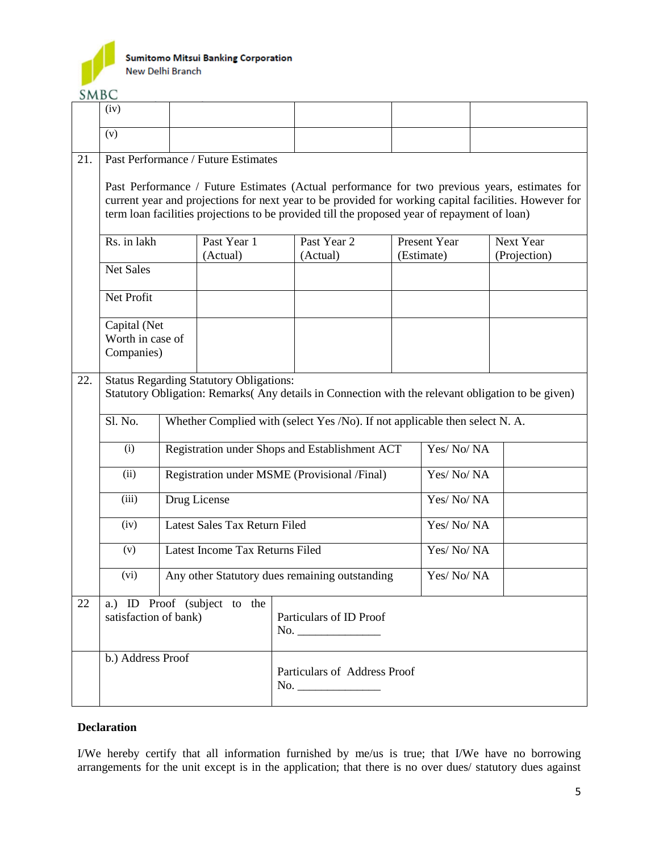

**SMBC** 

|                                                                                                                                                            | (iv)                                           |  |                                     |                                     |                                                                                              |           |                            |  |                                                                                                                                                                                                        |
|------------------------------------------------------------------------------------------------------------------------------------------------------------|------------------------------------------------|--|-------------------------------------|-------------------------------------|----------------------------------------------------------------------------------------------|-----------|----------------------------|--|--------------------------------------------------------------------------------------------------------------------------------------------------------------------------------------------------------|
|                                                                                                                                                            | (v)                                            |  |                                     |                                     |                                                                                              |           |                            |  |                                                                                                                                                                                                        |
| 21.                                                                                                                                                        |                                                |  | Past Performance / Future Estimates |                                     |                                                                                              |           |                            |  |                                                                                                                                                                                                        |
|                                                                                                                                                            |                                                |  |                                     |                                     | term loan facilities projections to be provided till the proposed year of repayment of loan) |           |                            |  | Past Performance / Future Estimates (Actual performance for two previous years, estimates for<br>current year and projections for next year to be provided for working capital facilities. However for |
|                                                                                                                                                            | Rs. in lakh                                    |  | Past Year 1<br>(Actual)             |                                     | Past Year 2<br>(Actual)                                                                      |           | Present Year<br>(Estimate) |  | Next Year<br>(Projection)                                                                                                                                                                              |
|                                                                                                                                                            | <b>Net Sales</b>                               |  |                                     |                                     |                                                                                              |           |                            |  |                                                                                                                                                                                                        |
|                                                                                                                                                            | Net Profit                                     |  |                                     |                                     |                                                                                              |           |                            |  |                                                                                                                                                                                                        |
|                                                                                                                                                            | Capital (Net<br>Worth in case of<br>Companies) |  |                                     |                                     |                                                                                              |           |                            |  |                                                                                                                                                                                                        |
| <b>Status Regarding Statutory Obligations:</b><br>22.<br>Statutory Obligation: Remarks(Any details in Connection with the relevant obligation to be given) |                                                |  |                                     |                                     |                                                                                              |           |                            |  |                                                                                                                                                                                                        |
|                                                                                                                                                            | Sl. No.                                        |  |                                     |                                     | Whether Complied with (select Yes /No). If not applicable then select N. A.                  |           |                            |  |                                                                                                                                                                                                        |
|                                                                                                                                                            | (i)                                            |  |                                     |                                     | Registration under Shops and Establishment ACT                                               |           | Yes/No/NA                  |  |                                                                                                                                                                                                        |
|                                                                                                                                                            | (ii)                                           |  |                                     |                                     | Registration under MSME (Provisional /Final)                                                 |           | Yes/No/NA                  |  |                                                                                                                                                                                                        |
|                                                                                                                                                            | (iii)                                          |  | Drug License                        |                                     |                                                                                              |           | Yes/No/NA                  |  |                                                                                                                                                                                                        |
|                                                                                                                                                            | (iv)                                           |  | Latest Sales Tax Return Filed       |                                     |                                                                                              |           | Yes/No/NA                  |  |                                                                                                                                                                                                        |
|                                                                                                                                                            | (v)                                            |  | Latest Income Tax Returns Filed     |                                     |                                                                                              | Yes/No/NA |                            |  |                                                                                                                                                                                                        |
|                                                                                                                                                            | (vi)                                           |  |                                     |                                     | Any other Statutory dues remaining outstanding                                               |           | Yes/No/NA                  |  |                                                                                                                                                                                                        |
| 22                                                                                                                                                         | satisfaction of bank)                          |  | a.) ID Proof (subject to the        |                                     | Particulars of ID Proof<br>No.                                                               |           |                            |  |                                                                                                                                                                                                        |
|                                                                                                                                                            | b.) Address Proof                              |  |                                     | Particulars of Address Proof<br>No. |                                                                                              |           |                            |  |                                                                                                                                                                                                        |

## **Declaration**

I/We hereby certify that all information furnished by me/us is true; that I/We have no borrowing arrangements for the unit except is in the application; that there is no over dues/ statutory dues against